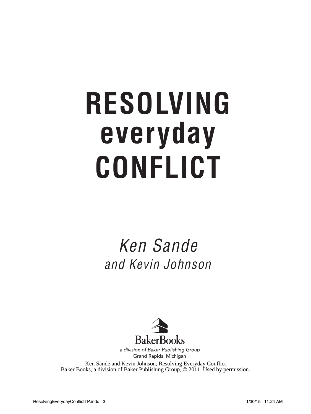# **RESOLVING everyday CONFLICT**

# *Ken Sande and Kevin Johnson*



**BakerBooks**<br>a division of Baker Publishing Group<br>Grand Rapids, Michigan

Ken Sande and Kevin Johnson, Resolving Everyday Conflict Baker Books, a division of Baker Publishing Group, © 2011. Used by permission.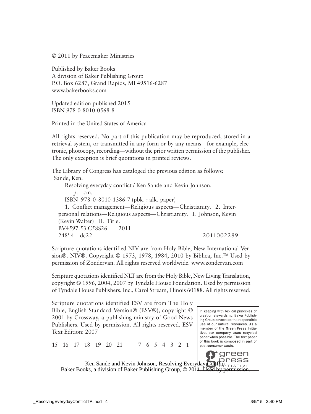© 2011 by Peacemaker Ministries

Published by Baker Books A division of Baker Publishing Group P.O. Box 6287, Grand Rapids, MI 49516-6287 www.bakerbooks.com

Updated edition published 2015 ISBN 978-0-8010-0568-8

Printed in the United States of America

All rights reserved. No part of this publication may be reproduced, stored in a retrieval system, or transmitted in any form or by any means—for example, electronic, photocopy, recording—without the prior written permission of the publisher. The only exception is brief quotations in printed reviews.

The Library of Congress has cataloged the previous edition as follows: Sande, Ken.

Resolving everyday conflict / Ken Sande and Kevin Johnson.

 p. cm. ISBN 978-0-8010-1386-7 (pbk. : alk. paper) 1. Conflict management—Religious aspects—Christianity. 2. Interpersonal relations—Religious aspects—Christianity. I. Johnson, Kevin (Kevin Walter) II. Title. BV4597.53.C58S26 2011 248'.4—dc22 2011002289

Scripture quotations identified NIV are from Holy Bible, New International Version®. NIV®. Copyright © 1973, 1978, 1984, 2010 by Biblica, Inc.™ Used by permission of Zondervan. All rights reserved worldwide. www.zondervan.com

Scripture quotations identified NLT are from the Holy Bible, New Living Translation, copyright © 1996, 2004, 2007 by Tyndale House Foundation. Used by permission of Tyndale House Publishers, Inc., Carol Stream, Illinois 60188. All rights reserved.

Scripture quotations identified ESV are from The Holy Bible, English Standard Version® (ESV®), copyright © 2001 by Crossway, a publishing ministry of Good News Publishers. Used by permission. All rights reserved. ESV Text Edition: 2007

15 16 17 18 19 20 21 7 6 5 4 3 2 1

In keeping with biblical principles of creation stewardship, Baker Publishing Group advocates the responsible use of our natural resources. As a member of the Green Press Initiative, our company uses recycled paper when possible. The text paper of this book is composed in part of post-consumer waste.

green

Ken Sande and Kevin Johnson, Resolving Everyday Conflict TIATIVE Baker Books, a division of Baker Publishing Group, © 2014. Used by permission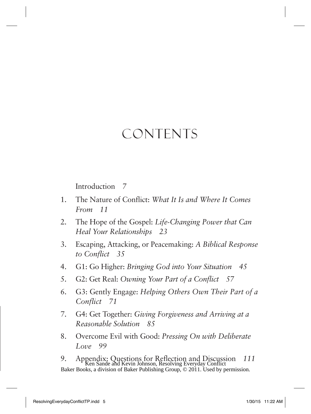# **CONTENTS**

Introduction *7*

- 1. The Nature of Conflict: *What It Is and Where It Comes From 11*
- 2. The Hope of the Gospel: *Life-Changing Power that Can Heal Your Relationships 23*
- 3. Escaping, Attacking, or Peacemaking: *A Biblical Response to Conflict 35*
- 4. G1: Go Higher: *Bringing God into Your Situation 45*
- 5. G2: Get Real: *Owning Your Part of a Conflict 57*
- 6. G3: Gently Engage: *Helping Others Own Their Part of a Conflict 71*
- 7. G4: Get Together: *Giving Forgiveness and Arriving at a Reasonable Solution 85*
- 8. Overcome Evil with Good: *Pressing On with Deliberate Love 99*
- 9. Appendix: Questions for Reflection and Discussion *111* Ken Sande and Kevin Johnson, Resolving Everyday Conflict Baker Books, a division of Baker Publishing Group, © 2011. Used by permission.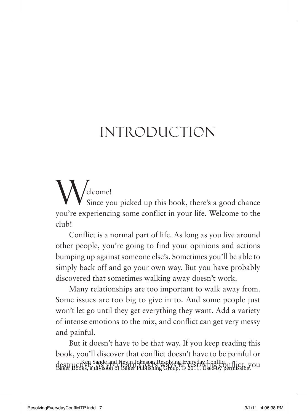# Introduction

Welcome!<br>Since you picked up this book, there's a good chance you're experiencing some conflict in your life. Welcome to the club!

Conflict is a normal part of life. As long as you live around other people, you're going to find your opinions and actions bumping up against someone else's. Sometimes you'll be able to simply back off and go your own way. But you have probably discovered that sometimes walking away doesn't work.

Many relationships are too important to walk away from. Some issues are too big to give in to. And some people just won't let go until they get everything they want. Add a variety of intense emotions to the mix, and conflict can get very messy and painful.

But it doesn't have to be that way. If you keep reading this book, you'll discover that conflict doesn't have to be painful or destructive. Sande and Kevin Johnson, Resolving Everyday Conflict, you destructive and Kevin Johnson, Resolving Everyday Conflict, you Baker Books, a division of Baker Publishing Group, © 2011. Used by permission.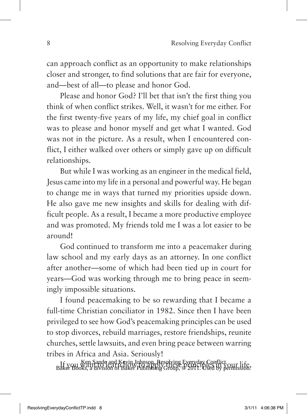can approach conflict as an opportunity to make relationships closer and stronger, to find solutions that are fair for everyone, and—best of all—to please and honor God.

Please and honor God? I'll bet that isn't the first thing you think of when conflict strikes. Well, it wasn't for me either. For the first twenty-five years of my life, my chief goal in conflict was to please and honor myself and get what I wanted. God was not in the picture. As a result, when I encountered conflict, I either walked over others or simply gave up on difficult relationships.

But while I was working as an engineer in the medical field, Jesus came into my life in a personal and powerful way. He began to change me in ways that turned my priorities upside down. He also gave me new insights and skills for dealing with difficult people. As a result, I became a more productive employee and was promoted. My friends told me I was a lot easier to be around!

God continued to transform me into a peacemaker during law school and my early days as an attorney. In one conflict after another—some of which had been tied up in court for years—God was working through me to bring peace in seemingly impossible situations.

I found peacemaking to be so rewarding that I became a full-time Christian conciliator in 1982. Since then I have been privileged to see how God's peacemaking principles can be used to stop divorces, rebuild marriages, restore friendships, reunite churches, settle lawsuits, and even bring peace between warring tribes in Africa and Asia. Seriously!

If you Ken Sande and Kevin Johnson, Resolving Everyday Conflict<br>If you wantake to a principle business of the Price in your life, Baker Books, a division of Baker Publishing Group, © 2011. Used by permission.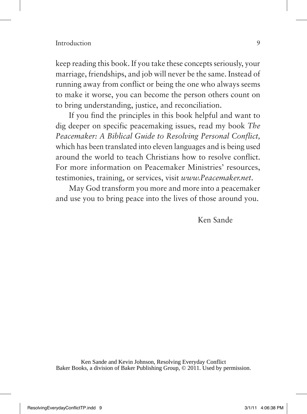keep reading this book. If you take these concepts seriously, your marriage, friendships, and job will never be the same. Instead of running away from conflict or being the one who always seems to make it worse, you can become the person others count on to bring understanding, justice, and reconciliation.

If you find the principles in this book helpful and want to dig deeper on specific peacemaking issues, read my book *The Peacemaker: A Biblical Guide to Resolving Personal Conflict,*  which has been translated into eleven languages and is being used around the world to teach Christians how to resolve conflict. For more information on Peacemaker Ministries' resources, testimonies, training, or services, visit *www.Peacemaker.net*.

May God transform you more and more into a peacemaker and use you to bring peace into the lives of those around you.

Ken Sande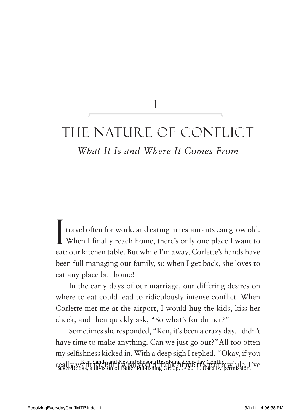# The Nature of Conflict *What It Is and Where It Comes From*

1

I travel often for work, and eating in restaurants can grow old.<br>When I finally reach home, there's only one place I want to<br>eat: our kitchen table. But while I'm away, Corlette's hands have travel often for work, and eating in restaurants can grow old. When I finally reach home, there's only one place I want to been full managing our family, so when I get back, she loves to eat any place but home!

In the early days of our marriage, our differing desires on where to eat could lead to ridiculously intense conflict. When Corlette met me at the airport, I would hug the kids, kiss her cheek, and then quickly ask, "So what's for dinner?"

Sometimes she responded, "Ken, it's been a crazy day. I didn't have time to make anything. Can we just go out?"All too often my selfishness kicked in. With a deep sigh I replied, "Okay, if you really water Sande and Keyin Johnson, Resolving Everyday Conflict while. I've<br>Ken Jungary Magnetic Burgh Burgh of me only to me of the catholic while. I've Baker Books, a division of Baker Publishing Group, © 2011. Used by permission.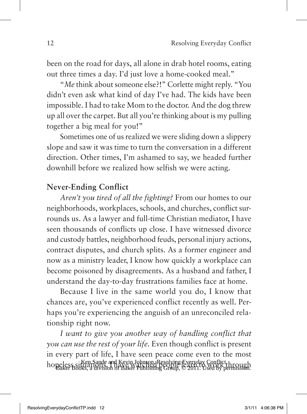been on the road for days, all alone in drab hotel rooms, eating out three times a day. I'd just love a home-cooked meal."

"*Me* think about someone else?!" Corlette might reply. "You didn't even ask what kind of day I've had. The kids have been impossible. I had to take Mom to the doctor. And the dog threw up all over the carpet. But all you're thinking about is my pulling together a big meal for you!"

Sometimes one of us realized we were sliding down a slippery slope and saw it was time to turn the conversation in a different direction. Other times, I'm ashamed to say, we headed further downhill before we realized how selfish we were acting.

#### **Never-Ending Conflict**

*Aren't you tired of all the fighting?* From our homes to our neighborhoods, workplaces, schools, and churches, conflict surrounds us. As a lawyer and full-time Christian mediator, I have seen thousands of conflicts up close. I have witnessed divorce and custody battles, neighborhood feuds, personal injury actions, contract disputes, and church splits. As a former engineer and now as a ministry leader, I know how quickly a workplace can become poisoned by disagreements. As a husband and father, I understand the day-to-day frustrations families face at home.

Because I live in the same world you do, I know that chances are, you've experienced conflict recently as well. Perhaps you're experiencing the anguish of an unreconciled relationship right now.

*I want to give you another way of handling conflict that you can use the rest of your life.* Even though conflict is present in every part of life, I have seen peace come even to the most Ken Sande and Kevin Johnson, Resolving Everyday Conflict, 1.<br>hopeless situation of Back through Every Eggin (1941) Baker Books, a division of Baker Publishing Group, © 2011. Used by permission.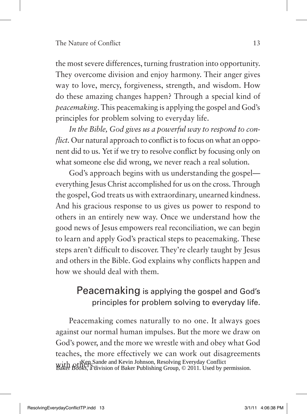the most severe differences, turning frustration into opportunity. They overcome division and enjoy harmony. Their anger gives way to love, mercy, forgiveness, strength, and wisdom. How do these amazing changes happen? Through a special kind of *peacemaking*. This peacemaking is applying the gospel and God's principles for problem solving to everyday life.

*In the Bible, God gives us a powerful way to respond to conflict*. Our natural approach to conflict is to focus on what an opponent did to us. Yet if we try to resolve conflict by focusing only on what someone else did wrong, we never reach a real solution.

God's approach begins with us understanding the gospel everything Jesus Christ accomplished for us on the cross. Through the gospel, God treats us with extraordinary, unearned kindness. And his gracious response to us gives us power to respond to others in an entirely new way. Once we understand how the good news of Jesus empowers real reconciliation, we can begin to learn and apply God's practical steps to peacemaking. These steps aren't difficult to discover. They're clearly taught by Jesus and others in the Bible. God explains why conflicts happen and how we should deal with them.

## Peacemaking is applying the gospel and God's principles for problem solving to everyday life.

Peacemaking comes naturally to no one. It always goes against our normal human impulses. But the more we draw on God's power, and the more we wrestle with and obey what God teaches, the more effectively we can work out disagreements with other Sande and Kevin Johnson, Resolving Everyday Conflict<br>Rath Other S division of Baker Publishing Group © 2011, Used by r Baker Books, a division of Baker Publishing Group, © 2011. Used by permission.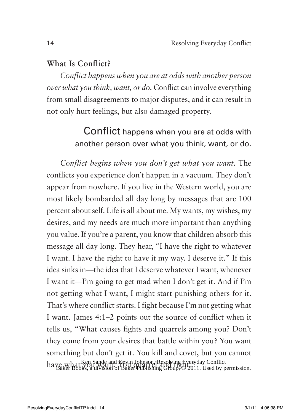## **What Is Conflict?**

*Conflict happens when you are at odds with another person over what you think, want, or do.* Conflict can involve everything from small disagreements to major disputes, and it can result in not only hurt feelings, but also damaged property.

# Conflict happens when you are at odds with another person over what you think, want, or do.

*Conflict begins when you don't get what you want.* The conflicts you experience don't happen in a vacuum. They don't appear from nowhere. If you live in the Western world, you are most likely bombarded all day long by messages that are 100 percent about self. Life is all about me. My wants, my wishes, my desires, and my needs are much more important than anything you value. If you're a parent, you know that children absorb this message all day long. They hear, "I have the right to whatever I want. I have the right to have it my way. I deserve it." If this idea sinks in—the idea that I deserve whatever I want, whenever I want it—I'm going to get mad when I don't get it. And if I'm not getting what I want, I might start punishing others for it. That's where conflict starts. I fight because I'm not getting what I want. James 4:1–2 points out the source of conflict when it tells us, "What causes fights and quarrels among you? Don't they come from your desires that battle within you? You want something but don't get it. You kill and covet, but you cannot have what Ken Sande and Keyin Johnson, Resolving Everyday Conflict<br>have what want is the second warm of the fight of the fight of the second was Baker Books, a division of Baker Publishing Group, © 2011. Used by permission.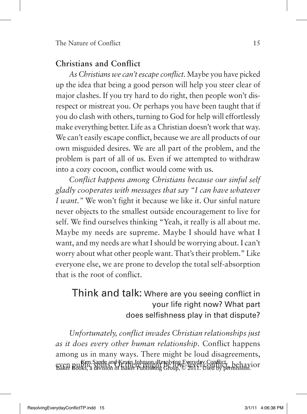#### **Christians and Conflict**

*As Christians we can't escape conflict*. Maybe you have picked up the idea that being a good person will help you steer clear of major clashes. If you try hard to do right, then people won't disrespect or mistreat you. Or perhaps you have been taught that if you do clash with others, turning to God for help will effortlessly make everything better. Life as a Christian doesn't work that way. We can't easily escape conflict, because we are all products of our own misguided desires. We are all part of the problem, and the problem is part of all of us. Even if we attempted to withdraw into a cozy cocoon, conflict would come with us.

*Conflict happens among Christians because our sinful self gladly cooperates with messages that say "I can have whatever I want."* We won't fight it because we like it. Our sinful nature never objects to the smallest outside encouragement to live for self. We find ourselves thinking "Yeah, it really is all about me. Maybe my needs are supreme. Maybe I should have what I want, and my needs are what I should be worrying about. I can't worry about what other people want. That's their problem." Like everyone else, we are prone to develop the total self-absorption that is the root of conflict.

# Think and talk: Where are you seeing conflict in your life right now? What part does selfishness play in that dispute?

*Unfortunately, conflict invades Christian relationships just as it does every other human relationship.* Conflict happens among us in many ways. There might be loud disagreements, even public splits. Or there might be low-level conflict, behavior Ken Sande and Kevin Johnson, Resolving Everyday Conflict Baker Books, a division of Baker Publishing Group, © 2011. Used by permission.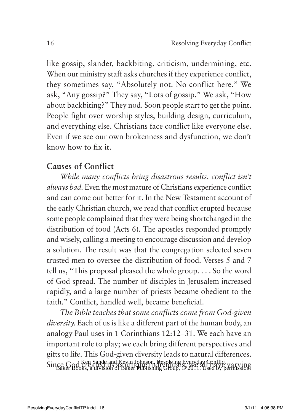like gossip, slander, backbiting, criticism, undermining, etc. When our ministry staff asks churches if they experience conflict, they sometimes say, "Absolutely not. No conflict here." We ask, "Any gossip?" They say, "Lots of gossip." We ask, "How about backbiting?" They nod. Soon people start to get the point. People fight over worship styles, building design, curriculum, and everything else. Christians face conflict like everyone else. Even if we see our own brokenness and dysfunction, we don't know how to fix it.

#### **Causes of Conflict**

*While many conflicts bring disastrous results, conflict isn't always bad.* Even the most mature of Christians experience conflict and can come out better for it. In the New Testament account of the early Christian church, we read that conflict erupted because some people complained that they were being shortchanged in the distribution of food (Acts 6). The apostles responded promptly and wisely, calling a meeting to encourage discussion and develop a solution. The result was that the congregation selected seven trusted men to oversee the distribution of food. Verses 5 and 7 tell us, "This proposal pleased the whole group. . . . So the word of God spread. The number of disciples in Jerusalem increased rapidly, and a large number of priests became obedient to the faith." Conflict, handled well, became beneficial.

*The Bible teaches that some conflicts come from God-given diversity.* Each of us is like a different part of the human body, an analogy Paul uses in 1 Corinthians 12:12–31. We each have an important role to play; we each bring different perspectives and gifts to life. This God-given diversity leads to natural differences.  $Sing, G$ od Ken Sande and Kevin Johnson, Resolving Everyday Conflict<br> $Sing, G$ od Created individuals and individual to all developed varying Baker Books, a division of Baker Publishing Group, © 2011. Used by permission.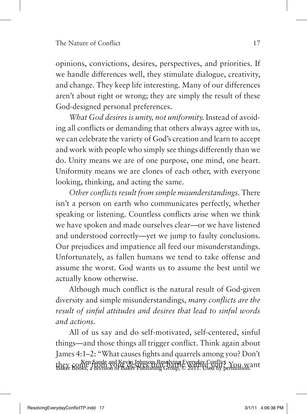opinions, convictions, desires, perspectives, and priorities. If we handle differences well, they stimulate dialogue, creativity, and change. They keep life interesting. Many of our differences aren't about right or wrong; they are simply the result of these God-designed personal preferences.

*What God desires is unity, not uniformity.* Instead of avoiding all conflicts or demanding that others always agree with us, we can celebrate the variety of God's creation and learn to accept and work with people who simply see things differently than we do. Unity means we are of one purpose, one mind, one heart. Uniformity means we are clones of each other, with everyone looking, thinking, and acting the same.

*Other conflicts result from simple misunderstandings.* There isn't a person on earth who communicates perfectly, whether speaking or listening. Countless conflicts arise when we think we have spoken and made ourselves clear—or we have listened and understood correctly—yet we jump to faulty conclusions. Our prejudices and impatience all feed our misunderstandings. Unfortunately, as fallen humans we tend to take offense and assume the worst. God wants us to assume the best until we actually know otherwise.

Although much conflict is the natural result of God-given diversity and simple misunderstandings, *many conflicts are the result of sinful attitudes and desires that lead to sinful words and actions.* 

All of us say and do self-motivated, self-centered, sinful things—and those things all trigger conflict. Think again about James 4:1–2: "What causes fights and quarrels among you? Don't they conflict Sande and Kevin Johnson, Resolving Everyday Conflict<br>Research online design of the want of the Will Have Will in Wall, want Baker Books, a division of Baker Publishing Group, © 2011. Used by permission.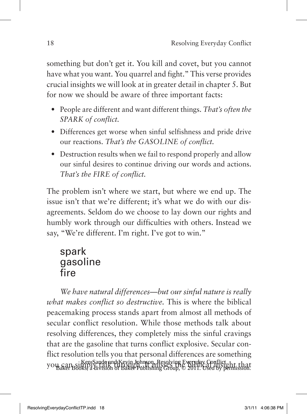something but don't get it. You kill and covet, but you cannot have what you want. You quarrel and fight." This verse provides crucial insights we will look at in greater detail in chapter 5. But for now we should be aware of three important facts:

- • People are different and want different things. *That's often the SPARK of conflict.*
- Differences get worse when sinful selfishness and pride drive our reactions. *That's the GASOLINE of conflict.*
- Destruction results when we fail to respond properly and allow our sinful desires to continue driving our words and actions. *That's the FIRE of conflict.*

The problem isn't where we start, but where we end up. The issue isn't that we're different; it's what we do with our disagreements. Seldom do we choose to lay down our rights and humbly work through our difficulties with others. Instead we say, "We're different. I'm right. I've got to win."

# spark gasoline fire

*We have natural differences—but our sinful nature is really what makes conflict so destructive.* This is where the biblical peacemaking process stands apart from almost all methods of secular conflict resolution. While those methods talk about resolving differences, they completely miss the sinful cravings that are the gasoline that turns conflict explosive. Secular conflict resolution tells you that personal differences are something Ken Sande and Keyin Johnson, Resolving Everyday Conflict<br>YOu, Can Superly that the biblical insight that that that that that the biblical insight that Baker Books, a division of Baker Publishing Group, © 2011. Used by permission.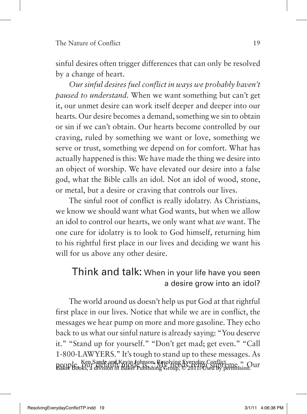sinful desires often trigger differences that can only be resolved by a change of heart.

*Our sinful desires fuel conflict in ways we probably haven't paused to understand.* When we want something but can't get it, our unmet desire can work itself deeper and deeper into our hearts. Our desire becomes a demand, something we sin to obtain or sin if we can't obtain. Our hearts become controlled by our craving, ruled by something we want or love, something we serve or trust, something we depend on for comfort. What has actually happened is this: We have made the thing we desire into an object of worship. We have elevated our desire into a false god, what the Bible calls an idol. Not an idol of wood, stone, or metal, but a desire or craving that controls our lives.

The sinful root of conflict is really idolatry. As Christians, we know we should want what God wants, but when we allow an idol to control our hearts, we only want what *we* want. The one cure for idolatry is to look to God himself, returning him to his rightful first place in our lives and deciding we want his will for us above any other desire.

# Think and talk: When in your life have you seen a desire grow into an idol?

The world around us doesn't help us put God at that rightful first place in our lives. Notice that while we are in conflict, the messages we hear pump on more and more gasoline. They echo back to us what our sinful nature is already saying: "You deserve it." "Stand up for yourself." "Don't get mad; get even." "Call 1-800-LAWYERS." It's tough to stand up to these messages. As people, Ken Sande and Keyin Johnson, Resolving Everyday Conflict<br>Reople, Our distant is Rabel bundening Grand Grand Cathoring supplements Baker Books, a division of Baker Publishing Group, © 2011. Used by permission.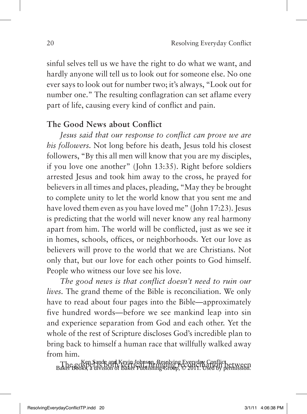sinful selves tell us we have the right to do what we want, and hardly anyone will tell us to look out for someone else. No one ever says to look out for number two; it's always, "Look out for number one." The resulting conflagration can set aflame every part of life, causing every kind of conflict and pain.

## **The Good News about Conflict**

*Jesus said that our response to conflict can prove we are his followers.* Not long before his death, Jesus told his closest followers, "By this all men will know that you are my disciples, if you love one another" (John 13:35). Right before soldiers arrested Jesus and took him away to the cross, he prayed for believers in all times and places, pleading, "May they be brought to complete unity to let the world know that you sent me and have loved them even as you have loved me" (John 17:23). Jesus is predicting that the world will never know any real harmony apart from him. The world will be conflicted, just as we see it in homes, schools, offices, or neighborhoods. Yet our love as believers will prove to the world that we are Christians. Not only that, but our love for each other points to God himself. People who witness our love see his love.

*The good news is that conflict doesn't need to ruin our lives.* The grand theme of the Bible is reconciliation. We only have to read about four pages into the Bible—approximately five hundred words—before we see mankind leap into sin and experience separation from God and each other. Yet the whole of the rest of Scripture discloses God's incredible plan to bring back to himself a human race that willfully walked away from him.

The g Ken Sande and Keyin Johnson, Resolving Everyday Conflict<br>The gospel is both Brital Polyiching in Still Halland, Retween Baker Books, a division of Baker Publishing Group, © 2011. Used by permission.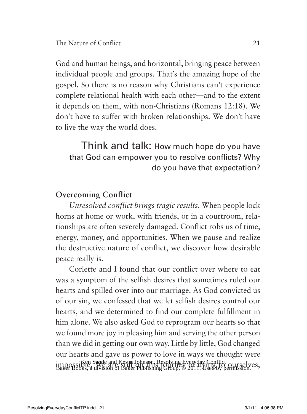God and human beings, and horizontal, bringing peace between individual people and groups. That's the amazing hope of the gospel. So there is no reason why Christians can't experience complete relational health with each other—and to the extent it depends on them, with non-Christians (Romans 12:18). We don't have to suffer with broken relationships. We don't have to live the way the world does.

Think and talk: How much hope do you have that God can empower you to resolve conflicts? Why do you have that expectation?

#### **Overcoming Conflict**

*Unresolved conflict brings tragic results.* When people lock horns at home or work, with friends, or in a courtroom, relationships are often severely damaged. Conflict robs us of time, energy, money, and opportunities. When we pause and realize the destructive nature of conflict, we discover how desirable peace really is.

Corlette and I found that our conflict over where to eat was a symptom of the selfish desires that sometimes ruled our hearts and spilled over into our marriage. As God convicted us of our sin, we confessed that we let selfish desires control our hearts, and we determined to find our complete fulfillment in him alone. We also asked God to reprogram our hearts so that we found more joy in pleasing him and serving the other person than we did in getting our own way. Little by little, God changed our hearts and gave us power to love in ways we thought were : Wen Sande and Kevin Johnson, Resolving Everyday Conflict<br>HUDOBSUDE 4 division of Bullar Phylishing Conflict of the Hughel Courselves, Baker Books, a division of Baker Publishing Group, © 2011. Used by permission.